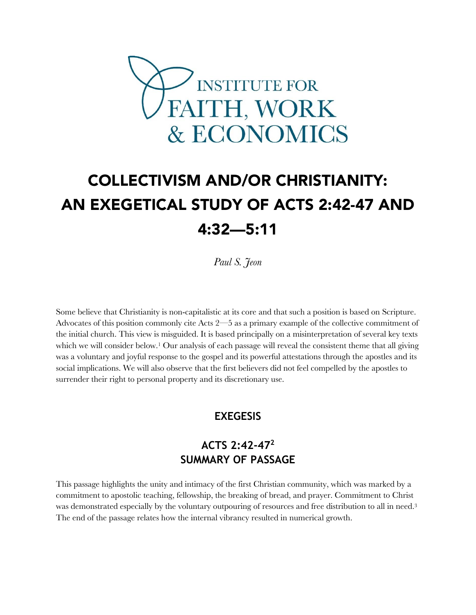

# COLLECTIVISM AND/OR CHRISTIANITY: AN EXEGETICAL STUDY OF ACTS 2:42-47 AND 4:32—5:11

*Paul S. Jeon*

Some believe that Christianity is non-capitalistic at its core and that such a position is based on Scripture. Advocates of this position commonly cite Acts 2—5 as a primary example of the collective commitment of the initial church. This view is misguided. It is based principally on a misinterpretation of several key texts which we will consider below.<sup>1</sup> Our analysis of each passage will reveal the consistent theme that all giving was a voluntary and joyful response to the gospel and its powerful attestations through the apostles and its social implications. We will also observe that the first believers did not feel compelled by the apostles to surrender their right to personal property and its discretionary use.

## **EXEGESIS**

# **ACTS 2:42-47<sup>2</sup> SUMMARY OF PASSAGE**

This passage highlights the unity and intimacy of the first Christian community, which was marked by a commitment to apostolic teaching, fellowship, the breaking of bread, and prayer. Commitment to Christ was demonstrated especially by the voluntary outpouring of resources and free distribution to all in need.<sup>3</sup> The end of the passage relates how the internal vibrancy resulted in numerical growth.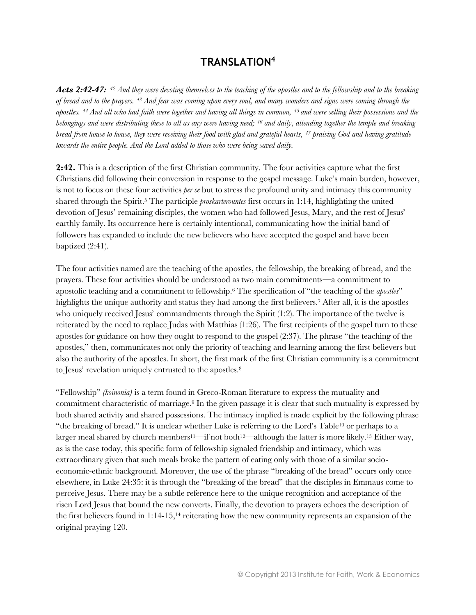#### **TRANSLATION<sup>4</sup>**

*Acts 2:42-47: <sup>42</sup> And they were devoting themselves to the teaching of the apostles and to the fellowship and to the breaking of bread and to the prayers. <sup>43</sup> And fear was coming upon every soul, and many wonders and signs were coming through the apostles. <sup>44</sup> And all who had faith were together and having all things in common, 45 and were selling their possessions and the belongings and were distributing these to all as any were having need; <sup>46</sup> and daily, attending together the temple and breaking bread from house to house, they were receiving their food with glad and grateful hearts, <sup>47</sup> praising God and having gratitude towards the entire people. And the Lord added to those who were being saved daily.* 

**2:42.** This is a description of the first Christian community. The four activities capture what the first Christians did following their conversion in response to the gospel message. Luke's main burden, however, is not to focus on these four activities *per se* but to stress the profound unity and intimacy this community shared through the Spirit.<sup>5</sup> The participle *proskarterountes* first occurs in 1:14, highlighting the united devotion of Jesus' remaining disciples, the women who had followed Jesus, Mary, and the rest of Jesus' earthly family. Its occurrence here is certainly intentional, communicating how the initial band of followers has expanded to include the new believers who have accepted the gospel and have been baptized (2:41).

The four activities named are the teaching of the apostles, the fellowship, the breaking of bread, and the prayers. These four activities should be understood as two main commitments—a commitment to apostolic teaching and a commitment to fellowship.<sup>6</sup> The specification of "the teaching of the *apostles*" highlights the unique authority and status they had among the first believers.<sup>7</sup> After all, it is the apostles who uniquely received Jesus' commandments through the Spirit (1:2). The importance of the twelve is reiterated by the need to replace Judas with Matthias (1:26). The first recipients of the gospel turn to these apostles for guidance on how they ought to respond to the gospel (2:37). The phrase "the teaching of the apostles," then, communicates not only the priority of teaching and learning among the first believers but also the authority of the apostles. In short, the first mark of the first Christian community is a commitment to Jesus' revelation uniquely entrusted to the apostles.<sup>8</sup>

"Fellowship" *(koinonia)* is a term found in Greco-Roman literature to express the mutuality and commitment characteristic of marriage.<sup>9</sup> In the given passage it is clear that such mutuality is expressed by both shared activity and shared possessions. The intimacy implied is made explicit by the following phrase "the breaking of bread." It is unclear whether Luke is referring to the Lord's Table<sup>10</sup> or perhaps to a larger meal shared by church members<sup>11—if</sup> not both<sup>12—</sup>although the latter is more likely.<sup>13</sup> Either way, as is the case today, this specific form of fellowship signaled friendship and intimacy, which was extraordinary given that such meals broke the pattern of eating only with those of a similar socioeconomic-ethnic background. Moreover, the use of the phrase "breaking of the bread" occurs only once elsewhere, in Luke 24:35: it is through the "breaking of the bread" that the disciples in Emmaus come to perceive Jesus. There may be a subtle reference here to the unique recognition and acceptance of the risen Lord Jesus that bound the new converts. Finally, the devotion to prayers echoes the description of the first believers found in  $1:14-15$ ,<sup>14</sup> reiterating how the new community represents an expansion of the original praying 120.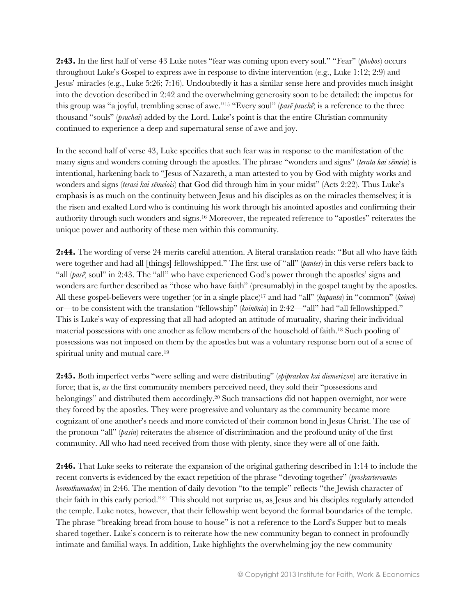**2:43.** In the first half of verse 43 Luke notes "fear was coming upon every soul." "Fear" (*phobos*) occurs throughout Luke's Gospel to express awe in response to divine intervention (e.g., Luke 1:12; 2:9) and Jesus' miracles (e.g., Luke 5:26; 7:16). Undoubtedly it has a similar sense here and provides much insight into the devotion described in 2:42 and the overwhelming generosity soon to be detailed: the impetus for this group was "a joyful, trembling sense of awe."<sup>15</sup> "Every soul" (*pasē psuchē*) is a reference to the three thousand "souls" (*psuchai*) added by the Lord. Luke's point is that the entire Christian community continued to experience a deep and supernatural sense of awe and joy.

In the second half of verse 43, Luke specifies that such fear was in response to the manifestation of the many signs and wonders coming through the apostles. The phrase "wonders and signs" (*terata kai sēmeia*) is intentional, harkening back to "Jesus of Nazareth, a man attested to you by God with mighty works and wonders and signs (*terasi kai sēmeiois*) that God did through him in your midst" (Acts 2:22). Thus Luke's emphasis is as much on the continuity between Jesus and his disciples as on the miracles themselves; it is the risen and exalted Lord who is continuing his work through his anointed apostles and confirming their authority through such wonders and signs.<sup>16</sup> Moreover, the repeated reference to "apostles" reiterates the unique power and authority of these men within this community.

**2:44.** The wording of verse 24 merits careful attention. A literal translation reads: "But all who have faith were together and had all [things] fellowshipped." The first use of "all" (*pantes*) in this verse refers back to "all (*pas* $\vec{e}$ ) soul" in 2:43. The "all" who have experienced God's power through the apostles' signs and wonders are further described as "those who have faith" (presumably) in the gospel taught by the apostles. All these gospel-believers were together (or in a single place)<sup>17</sup> and had "all" (*hapanta*) in "common" (*koina*) or—to be consistent with the translation "fellowship" (*koinōnia*) in 2:42—"all" had "all fellowshipped." This is Luke's way of expressing that all had adopted an attitude of mutuality, sharing their individual material possessions with one another as fellow members of the household of faith.<sup>18</sup> Such pooling of possessions was not imposed on them by the apostles but was a voluntary response born out of a sense of spiritual unity and mutual care.<sup>19</sup>

**2:45.** Both imperfect verbs "were selling and were distributing" (*epipraskon kai diemerizon*) are iterative in force; that is, *as* the first community members perceived need, they sold their "possessions and belongings" and distributed them accordingly.<sup>20</sup> Such transactions did not happen overnight, nor were they forced by the apostles. They were progressive and voluntary as the community became more cognizant of one another's needs and more convicted of their common bond in Jesus Christ. The use of the pronoun "all" (*pasin*) reiterates the absence of discrimination and the profound unity of the first community. All who had need received from those with plenty, since they were all of one faith.

**2:46.** That Luke seeks to reiterate the expansion of the original gathering described in 1:14 to include the recent converts is evidenced by the exact repetition of the phrase "devoting together" (*proskarterountes homothumadon*) in 2:46. The mention of daily devotion "to the temple" reflects "the Jewish character of their faith in this early period."<sup>21</sup> This should not surprise us, as Jesus and his disciples regularly attended the temple. Luke notes, however, that their fellowship went beyond the formal boundaries of the temple. The phrase "breaking bread from house to house" is not a reference to the Lord's Supper but to meals shared together. Luke's concern is to reiterate how the new community began to connect in profoundly intimate and familial ways. In addition, Luke highlights the overwhelming joy the new community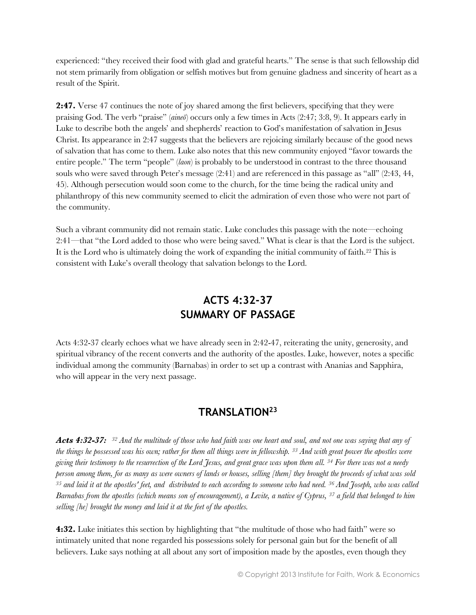experienced: "they received their food with glad and grateful hearts." The sense is that such fellowship did not stem primarily from obligation or selfish motives but from genuine gladness and sincerity of heart as a result of the Spirit.

**2:47.** Verse 47 continues the note of joy shared among the first believers, specifying that they were praising God. The verb "praise" (*aineō*) occurs only a few times in Acts (2:47; 3:8, 9). It appears early in Luke to describe both the angels' and shepherds' reaction to God's manifestation of salvation in Jesus Christ. Its appearance in 2:47 suggests that the believers are rejoicing similarly because of the good news of salvation that has come to them. Luke also notes that this new community enjoyed "favor towards the entire people." The term "people" (*laon*) is probably to be understood in contrast to the three thousand souls who were saved through Peter's message (2:41) and are referenced in this passage as "all" (2:43, 44, 45). Although persecution would soon come to the church, for the time being the radical unity and philanthropy of this new community seemed to elicit the admiration of even those who were not part of the community.

Such a vibrant community did not remain static. Luke concludes this passage with the note—echoing 2:41—that "the Lord added to those who were being saved." What is clear is that the Lord is the subject. It is the Lord who is ultimately doing the work of expanding the initial community of faith.<sup>22</sup> This is consistent with Luke's overall theology that salvation belongs to the Lord.

# **ACTS 4:32-37 SUMMARY OF PASSAGE**

Acts 4:32-37 clearly echoes what we have already seen in 2:42-47, reiterating the unity, generosity, and spiritual vibrancy of the recent converts and the authority of the apostles. Luke, however, notes a specific individual among the community (Barnabas) in order to set up a contrast with Ananias and Sapphira, who will appear in the very next passage.

## **TRANSLATION<sup>23</sup>**

*Acts 4:32-37:<sup>32</sup> And the multitude of those who had faith was one heart and soul, and not one was saying that any of the things he possessed was his own; rather for them all things were in fellowship. <sup>33</sup> And with great power the apostles were giving their testimony to the resurrection of the Lord Jesus, and great grace was upon them all. <sup>34</sup> For there was not a needy person among them, for as many as were owners of lands or houses, selling [them] they brought the proceeds of what was sold <sup>35</sup> and laid it at the apostles' feet, and distributed to each according to someone who had need. <sup>36</sup> And Joseph, who was called Barnabas from the apostles (which means son of encouragement), a Levite, a native of Cyprus, <sup>37</sup> a field that belonged to him selling [he] brought the money and laid it at the feet of the apostles.* 

**4:32.** Luke initiates this section by highlighting that "the multitude of those who had faith" were so intimately united that none regarded his possessions solely for personal gain but for the benefit of all believers. Luke says nothing at all about any sort of imposition made by the apostles, even though they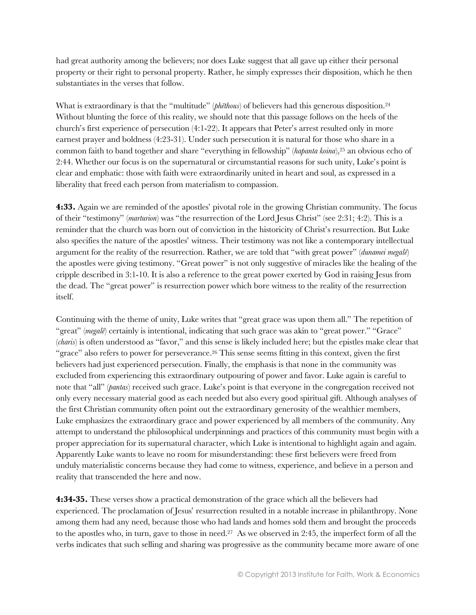had great authority among the believers; nor does Luke suggest that all gave up either their personal property or their right to personal property. Rather, he simply expresses their disposition, which he then substantiates in the verses that follow.

What is extraordinary is that the "multitude" (*phēthous*) of believers had this generous disposition.<sup>24</sup> Without blunting the force of this reality, we should note that this passage follows on the heels of the church's first experience of persecution (4:1-22). It appears that Peter's arrest resulted only in more earnest prayer and boldness (4:23-31). Under such persecution it is natural for those who share in a common faith to band together and share "everything in fellowship" (*hapanta koina*),<sup>25</sup> an obvious echo of 2:44. Whether our focus is on the supernatural or circumstantial reasons for such unity, Luke's point is clear and emphatic: those with faith were extraordinarily united in heart and soul, as expressed in a liberality that freed each person from materialism to compassion.

**4:33.** Again we are reminded of the apostles' pivotal role in the growing Christian community. The focus of their "testimony" (*marturion*) was "the resurrection of the Lord Jesus Christ" (see 2:31; 4:2). This is a reminder that the church was born out of conviction in the historicity of Christ's resurrection. But Luke also specifies the nature of the apostles' witness. Their testimony was not like a contemporary intellectual argument for the reality of the resurrection. Rather, we are told that "with great power" (*dunamei megalē*) the apostles were giving testimony. "Great power" is not only suggestive of miracles like the healing of the cripple described in 3:1-10. It is also a reference to the great power exerted by God in raising Jesus from the dead. The "great power" is resurrection power which bore witness to the reality of the resurrection itself.

Continuing with the theme of unity, Luke writes that "great grace was upon them all." The repetition of "great" (*megalē*) certainly is intentional, indicating that such grace was akin to "great power." "Grace" (*charis*) is often understood as "favor," and this sense is likely included here; but the epistles make clear that "grace" also refers to power for perseverance.<sup>26</sup> This sense seems fitting in this context, given the first believers had just experienced persecution. Finally, the emphasis is that none in the community was excluded from experiencing this extraordinary outpouring of power and favor. Luke again is careful to note that "all" (*pantas*) received such grace. Luke's point is that everyone in the congregation received not only every necessary material good as each needed but also every good spiritual gift. Although analyses of the first Christian community often point out the extraordinary generosity of the wealthier members, Luke emphasizes the extraordinary grace and power experienced by all members of the community. Any attempt to understand the philosophical underpinnings and practices of this community must begin with a proper appreciation for its supernatural character, which Luke is intentional to highlight again and again. Apparently Luke wants to leave no room for misunderstanding: these first believers were freed from unduly materialistic concerns because they had come to witness, experience, and believe in a person and reality that transcended the here and now.

**4:34-35.** These verses show a practical demonstration of the grace which all the believers had experienced. The proclamation of Jesus' resurrection resulted in a notable increase in philanthropy. None among them had any need, because those who had lands and homes sold them and brought the proceeds to the apostles who, in turn, gave to those in need.27 As we observed in 2:45, the imperfect form of all the verbs indicates that such selling and sharing was progressive as the community became more aware of one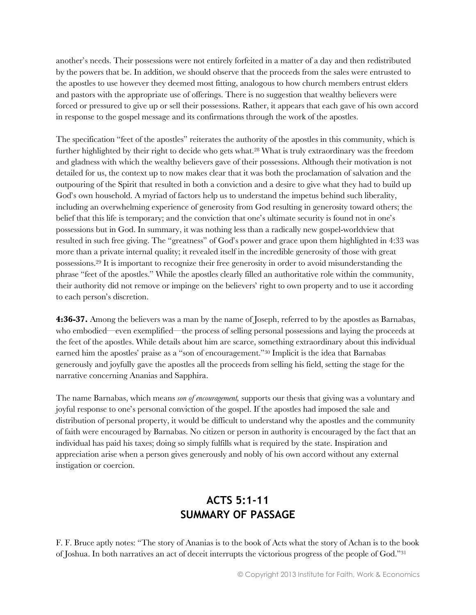another's needs. Their possessions were not entirely forfeited in a matter of a day and then redistributed by the powers that be. In addition, we should observe that the proceeds from the sales were entrusted to the apostles to use however they deemed most fitting, analogous to how church members entrust elders and pastors with the appropriate use of offerings. There is no suggestion that wealthy believers were forced or pressured to give up or sell their possessions. Rather, it appears that each gave of his own accord in response to the gospel message and its confirmations through the work of the apostles.

The specification "feet of the apostles" reiterates the authority of the apostles in this community, which is further highlighted by their right to decide who gets what.<sup>28</sup> What is truly extraordinary was the freedom and gladness with which the wealthy believers gave of their possessions. Although their motivation is not detailed for us, the context up to now makes clear that it was both the proclamation of salvation and the outpouring of the Spirit that resulted in both a conviction and a desire to give what they had to build up God's own household. A myriad of factors help us to understand the impetus behind such liberality, including an overwhelming experience of generosity from God resulting in generosity toward others; the belief that this life is temporary; and the conviction that one's ultimate security is found not in one's possessions but in God. In summary, it was nothing less than a radically new gospel-worldview that resulted in such free giving. The "greatness" of God's power and grace upon them highlighted in 4:33 was more than a private internal quality; it revealed itself in the incredible generosity of those with great possessions.<sup>29</sup> It is important to recognize their free generosity in order to avoid misunderstanding the phrase "feet of the apostles." While the apostles clearly filled an authoritative role within the community, their authority did not remove or impinge on the believers' right to own property and to use it according to each person's discretion.

**4:36-37.** Among the believers was a man by the name of Joseph, referred to by the apostles as Barnabas, who embodied—even exemplified—the process of selling personal possessions and laying the proceeds at the feet of the apostles. While details about him are scarce, something extraordinary about this individual earned him the apostles' praise as a "son of encouragement."<sup>30</sup> Implicit is the idea that Barnabas generously and joyfully gave the apostles all the proceeds from selling his field, setting the stage for the narrative concerning Ananias and Sapphira.

The name Barnabas, which means *son of encouragement,* supports our thesis that giving was a voluntary and joyful response to one's personal conviction of the gospel. If the apostles had imposed the sale and distribution of personal property, it would be difficult to understand why the apostles and the community of faith were encouraged by Barnabas. No citizen or person in authority is encouraged by the fact that an individual has paid his taxes; doing so simply fulfills what is required by the state. Inspiration and appreciation arise when a person gives generously and nobly of his own accord without any external instigation or coercion.

# **ACTS 5:1-11 SUMMARY OF PASSAGE**

F. F. Bruce aptly notes: "The story of Ananias is to the book of Acts what the story of Achan is to the book of Joshua. In both narratives an act of deceit interrupts the victorious progress of the people of God."<sup>31</sup>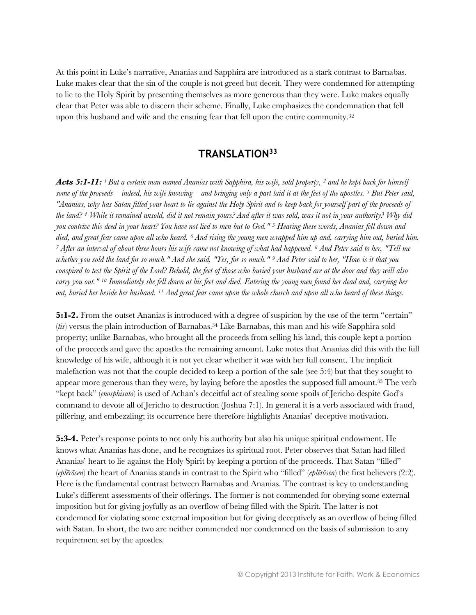At this point in Luke's narrative, Ananias and Sapphira are introduced as a stark contrast to Barnabas. Luke makes clear that the sin of the couple is not greed but deceit. They were condemned for attempting to lie to the Holy Spirit by presenting themselves as more generous than they were. Luke makes equally clear that Peter was able to discern their scheme. Finally, Luke emphasizes the condemnation that fell upon this husband and wife and the ensuing fear that fell upon the entire community.<sup>32</sup>

## **TRANSLATION<sup>33</sup>**

*Acts 5:1-11: <sup>1</sup>But a certain man named Ananias with Sapphira, his wife, sold property, <sup>2</sup> and he kept back for himself some of the proceeds—indeed, his wife knowing—and bringing only a part laid it at the feet of the apostles. <sup>3</sup> But Peter said, "Ananias, why has Satan filled your heart to lie against the Holy Spirit and to keep back for yourself part of the proceeds of the land? <sup>4</sup> While it remained unsold, did it not remain yours? And after it was sold, was it not in your authority? Why did you contrive this deed in your heart? You have not lied to men but to God." <sup>5</sup> Hearing these words, Ananias fell down and died, and great fear came upon all who heard. <sup>6</sup> And rising the young men wrapped him up and, carrying him out, buried him. <sup>7</sup> After an interval of about three hours his wife came not knowing of what had happened. <sup>8</sup> And Peter said to her, "Tell me whether you sold the land for so much." And she said, "Yes, for so much." <sup>9</sup> And Peter said to her, "How is it that you conspired to test the Spirit of the Lord? Behold, the feet of those who buried your husband are at the door and they will also carry you out." <sup>10</sup> Immediately she fell down at his feet and died. Entering the young men found her dead and, carrying her out, buried her beside her husband. <sup>11</sup> And great fear came upon the whole church and upon all who heard of these things.*

**5:1-2.** From the outset Ananias is introduced with a degree of suspicion by the use of the term "certain" (*tis*) versus the plain introduction of Barnabas.<sup>34</sup> Like Barnabas, this man and his wife Sapphira sold property; unlike Barnabas, who brought all the proceeds from selling his land, this couple kept a portion of the proceeds and gave the apostles the remaining amount. Luke notes that Ananias did this with the full knowledge of his wife, although it is not yet clear whether it was with her full consent. The implicit malefaction was not that the couple decided to keep a portion of the sale (see 5:4) but that they sought to appear more generous than they were, by laying before the apostles the supposed full amount.<sup>35</sup> The verb "kept back" (*enosphisato*) is used of Achan's deceitful act of stealing some spoils of Jericho despite God's command to devote all of Jericho to destruction (Joshua 7:1). In general it is a verb associated with fraud, pilfering, and embezzling; its occurrence here therefore highlights Ananias' deceptive motivation.

**5:3-4.** Peter's response points to not only his authority but also his unique spiritual endowment. He knows what Ananias has done, and he recognizes its spiritual root. Peter observes that Satan had filled Ananias' heart to lie against the Holy Spirit by keeping a portion of the proceeds. That Satan "filled" (*eplērōsen*) the heart of Ananias stands in contrast to the Spirit who "filled" (*eplērōsen*) the first believers (2:2). Here is the fundamental contrast between Barnabas and Ananias. The contrast is key to understanding Luke's different assessments of their offerings. The former is not commended for obeying some external imposition but for giving joyfully as an overflow of being filled with the Spirit. The latter is not condemned for violating some external imposition but for giving deceptively as an overflow of being filled with Satan. In short, the two are neither commended nor condemned on the basis of submission to any requirement set by the apostles.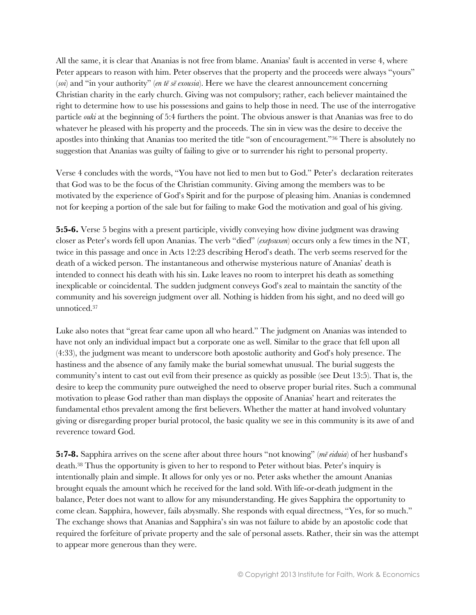All the same, it is clear that Ananias is not free from blame. Ananias' fault is accented in verse 4, where Peter appears to reason with him. Peter observes that the property and the proceeds were always "yours" (*soi*) and "in your authority" (*en tē sē exousia*). Here we have the clearest announcement concerning Christian charity in the early church. Giving was not compulsory; rather, each believer maintained the right to determine how to use his possessions and gains to help those in need. The use of the interrogative particle *ouki* at the beginning of 5:4 furthers the point. The obvious answer is that Ananias was free to do whatever he pleased with his property and the proceeds. The sin in view was the desire to deceive the apostles into thinking that Ananias too merited the title "son of encouragement."<sup>36</sup> There is absolutely no suggestion that Ananias was guilty of failing to give or to surrender his right to personal property.

Verse 4 concludes with the words, "You have not lied to men but to God." Peter's declaration reiterates that God was to be the focus of the Christian community. Giving among the members was to be motivated by the experience of God's Spirit and for the purpose of pleasing him. Ananias is condemned not for keeping a portion of the sale but for failing to make God the motivation and goal of his giving.

**5:5-6.** Verse 5 begins with a present participle, vividly conveying how divine judgment was drawing closer as Peter's words fell upon Ananias. The verb "died" (*exepsuxen*) occurs only a few times in the NT, twice in this passage and once in Acts 12:23 describing Herod's death. The verb seems reserved for the death of a wicked person. The instantaneous and otherwise mysterious nature of Ananias' death is intended to connect his death with his sin. Luke leaves no room to interpret his death as something inexplicable or coincidental. The sudden judgment conveys God's zeal to maintain the sanctity of the community and his sovereign judgment over all. Nothing is hidden from his sight, and no deed will go unnoticed.<sup>37</sup>

Luke also notes that "great fear came upon all who heard." The judgment on Ananias was intended to have not only an individual impact but a corporate one as well. Similar to the grace that fell upon all (4:33), the judgment was meant to underscore both apostolic authority and God's holy presence. The hastiness and the absence of any family make the burial somewhat unusual. The burial suggests the community's intent to cast out evil from their presence as quickly as possible (see Deut 13:5). That is, the desire to keep the community pure outweighed the need to observe proper burial rites. Such a communal motivation to please God rather than man displays the opposite of Ananias' heart and reiterates the fundamental ethos prevalent among the first believers. Whether the matter at hand involved voluntary giving or disregarding proper burial protocol, the basic quality we see in this community is its awe of and reverence toward God.

**5:7-8.** Sapphira arrives on the scene after about three hours "not knowing" (*mē eiduia*) of her husband's death.<sup>38</sup> Thus the opportunity is given to her to respond to Peter without bias. Peter's inquiry is intentionally plain and simple. It allows for only yes or no. Peter asks whether the amount Ananias brought equals the amount which he received for the land sold. With life-or-death judgment in the balance, Peter does not want to allow for any misunderstanding. He gives Sapphira the opportunity to come clean. Sapphira, however, fails abysmally. She responds with equal directness, "Yes, for so much." The exchange shows that Ananias and Sapphira's sin was not failure to abide by an apostolic code that required the forfeiture of private property and the sale of personal assets. Rather, their sin was the attempt to appear more generous than they were.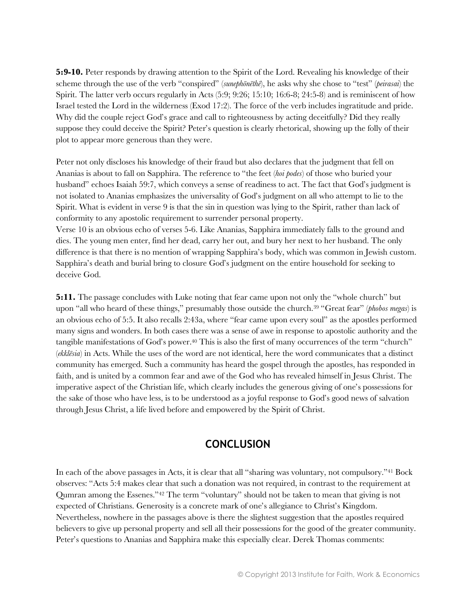**5:9-10.** Peter responds by drawing attention to the Spirit of the Lord. Revealing his knowledge of their scheme through the use of the verb "conspired" (*sunephōnēthē*), he asks why she chose to "test" (*peirasai*) the Spirit. The latter verb occurs regularly in Acts (5:9; 9:26; 15:10; 16:6-8; 24:5-8) and is reminiscent of how Israel tested the Lord in the wilderness (Exod 17:2). The force of the verb includes ingratitude and pride. Why did the couple reject God's grace and call to righteousness by acting deceitfully? Did they really suppose they could deceive the Spirit? Peter's question is clearly rhetorical, showing up the folly of their plot to appear more generous than they were.

Peter not only discloses his knowledge of their fraud but also declares that the judgment that fell on Ananias is about to fall on Sapphira. The reference to "the feet (*hoi podes*) of those who buried your husband" echoes Isaiah 59:7, which conveys a sense of readiness to act. The fact that God's judgment is not isolated to Ananias emphasizes the universality of God's judgment on all who attempt to lie to the Spirit. What is evident in verse 9 is that the sin in question was lying to the Spirit, rather than lack of conformity to any apostolic requirement to surrender personal property.

Verse 10 is an obvious echo of verses 5-6. Like Ananias, Sapphira immediately falls to the ground and dies. The young men enter, find her dead, carry her out, and bury her next to her husband. The only difference is that there is no mention of wrapping Sapphira's body, which was common in Jewish custom. Sapphira's death and burial bring to closure God's judgment on the entire household for seeking to deceive God.

**5:11.** The passage concludes with Luke noting that fear came upon not only the "whole church" but upon "all who heard of these things," presumably those outside the church.<sup>39</sup> "Great fear" (*phobos megas*) is an obvious echo of 5:5. It also recalls 2:43a, where "fear came upon every soul" as the apostles performed many signs and wonders. In both cases there was a sense of awe in response to apostolic authority and the tangible manifestations of God's power.<sup>40</sup> This is also the first of many occurrences of the term "church" (*ekklēsia*) in Acts. While the uses of the word are not identical, here the word communicates that a distinct community has emerged. Such a community has heard the gospel through the apostles, has responded in faith, and is united by a common fear and awe of the God who has revealed himself in Jesus Christ. The imperative aspect of the Christian life, which clearly includes the generous giving of one's possessions for the sake of those who have less, is to be understood as a joyful response to God's good news of salvation through Jesus Christ, a life lived before and empowered by the Spirit of Christ.

#### **CONCLUSION**

In each of the above passages in Acts, it is clear that all "sharing was voluntary, not compulsory."<sup>41</sup> Bock observes: "Acts 5:4 makes clear that such a donation was not required, in contrast to the requirement at Qumran among the Essenes."<sup>42</sup> The term "voluntary" should not be taken to mean that giving is not expected of Christians. Generosity is a concrete mark of one's allegiance to Christ's Kingdom. Nevertheless, nowhere in the passages above is there the slightest suggestion that the apostles required believers to give up personal property and sell all their possessions for the good of the greater community. Peter's questions to Ananias and Sapphira make this especially clear. Derek Thomas comments: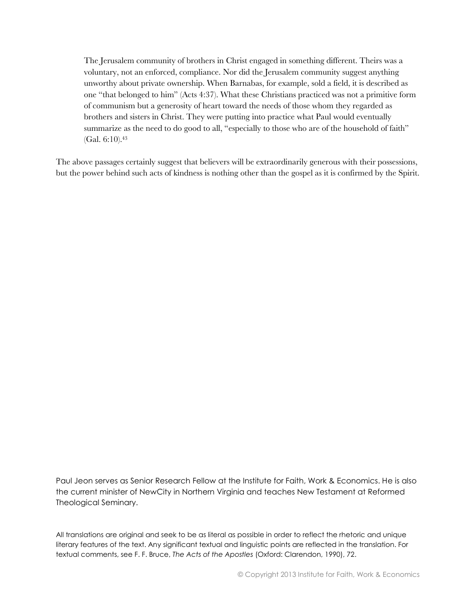The Jerusalem community of brothers in Christ engaged in something different. Theirs was a voluntary, not an enforced, compliance. Nor did the Jerusalem community suggest anything unworthy about private ownership. When Barnabas, for example, sold a field, it is described as one "that belonged to him" (Acts 4:37). What these Christians practiced was not a primitive form of communism but a generosity of heart toward the needs of those whom they regarded as brothers and sisters in Christ. They were putting into practice what Paul would eventually summarize as the need to do good to all, "especially to those who are of the household of faith" (Gal. 6:10).<sup>43</sup>

The above passages certainly suggest that believers will be extraordinarily generous with their possessions, but the power behind such acts of kindness is nothing other than the gospel as it is confirmed by the Spirit.

Paul Jeon serves as Senior Research Fellow at the Institute for Faith, Work & Economics. He is also the current minister of NewCity in Northern Virginia and teaches New Testament at Reformed Theological Seminary.

All translations are original and seek to be as literal as possible in order to reflect the rhetoric and unique literary features of the text. Any significant textual and linguistic points are reflected in the translation. For textual comments, see F. F. Bruce, *The Acts of the Apostles* (Oxford: Clarendon, 1990), 72.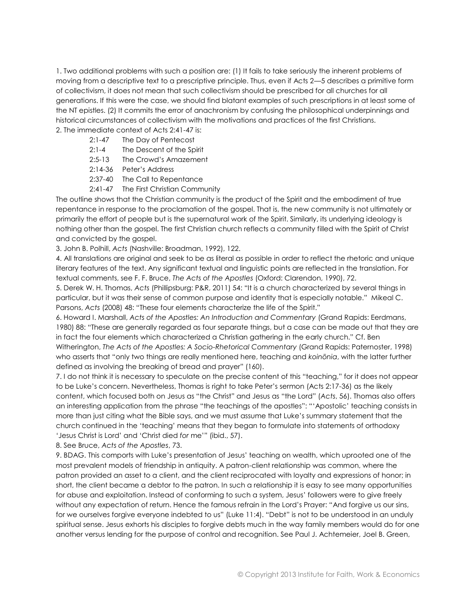1. Two additional problems with such a position are: (1) It fails to take seriously the inherent problems of moving from a descriptive text to a prescriptive principle. Thus, even if Acts 2—5 describes a primitive form of collectivism, it does not mean that such collectivism should be prescribed for all churches for all generations. If this were the case, we should find blatant examples of such prescriptions in at least some of the NT epistles. (2) It commits the error of anachronism by confusing the philosophical underpinnings and historical circumstances of collectivism with the motivations and practices of the first Christians. 2. The immediate context of Acts 2:41-47 is:

- 2:1-47 The Day of Pentecost
- 2:1-4 The Descent of the Spirit
- 2:5-13 The Crowd's Amazement
- 2:14-36 Peter's Address
- 2:37-40 The Call to Repentance
- 2:41-47 The First Christian Community

The outline shows that the Christian community is the product of the Spirit and the embodiment of true repentance in response to the proclamation of the gospel. That is, the new community is not ultimately or primarily the effort of people but is the supernatural work of the Spirit. Similarly, its underlying ideology is nothing other than the gospel. The first Christian church reflects a community filled with the Spirit of Christ and convicted by the gospel.

3. John B. Polhill, *Acts* (Nashville: Broadman, 1992), 122.

4. All translations are original and seek to be as literal as possible in order to reflect the rhetoric and unique literary features of the text. Any significant textual and linguistic points are reflected in the translation. For textual comments, see F. F. Bruce, *The Acts of the Apostles* (Oxford: Clarendon, 1990), 72.

5. Derek W. H. Thomas, *Acts* (Phillipsburg: P&R, 2011) 54: "It is a church characterized by several things in particular, but it was their sense of common purpose and identity that is especially notable." Mikeal C. Parsons, *Acts* (2008) 48: "These four elements characterize the life of the Spirit."

6. Howard I. Marshall, *Acts of the Apostles: An Introduction and Commentary* (Grand Rapids: Eerdmans, 1980) 88: "These are generally regarded as four separate things, but a case can be made out that they are in fact the four elements which characterized a Christian gathering in the early church." Cf. Ben Witherington, *The Acts of the Apostles: A Socio-Rhetorical Commentary* (Grand Rapids: Paternoster, 1998) who asserts that "only two things are really mentioned here, teaching and *koinōnia*, with the latter further defined as involving the breaking of bread and prayer" (160).

7. I do not think it is necessary to speculate on the precise content of this "teaching," for it does not appear to be Luke's concern. Nevertheless, Thomas is right to take Peter's sermon (Acts 2:17-36) as the likely content, which focused both on Jesus as "the Christ" and Jesus as "the Lord" (*Acts*, 56). Thomas also offers an interesting application from the phrase "the teachings of the apostles": "'Apostolic' teaching consists in more than just citing what the Bible says, and we must assume that Luke's summary statement that the church continued in the 'teaching' means that they began to formulate into statements of orthodoxy 'Jesus Christ is Lord' and 'Christ died *for* me'" (ibid., 57).

8. See Bruce, *Acts of the Apostles*, 73.

9. BDAG. This comports with Luke's presentation of Jesus' teaching on wealth, which uprooted one of the most prevalent models of friendship in antiquity. A patron-client relationship was common, where the patron provided an asset to a client, and the client reciprocated with loyalty and expressions of honor; in short, the client became a debtor to the patron. In such a relationship it is easy to see many opportunities for abuse and exploitation. Instead of conforming to such a system, Jesus' followers were to give freely without any expectation of return. Hence the famous refrain in the Lord's Prayer: "And forgive us our sins, for we ourselves forgive everyone indebted to us" (Luke 11:4). "Debt" is not to be understood in an unduly spiritual sense. Jesus exhorts his disciples to forgive debts much in the way family members would do for one another versus lending for the purpose of control and recognition. See Paul J. Achtemeier, Joel B. Green,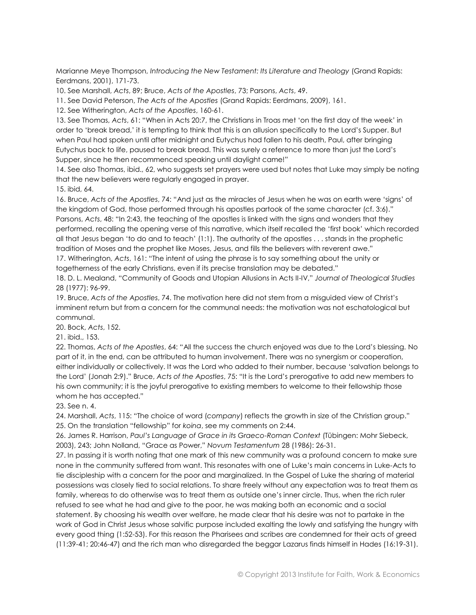Marianne Meye Thompson, *Introducing the New Testament: Its Literature and Theology* (Grand Rapids: Eerdmans, 2001), 171-73.

10. See Marshall, *Acts*, 89; Bruce, *Acts of the Apostles*, 73; Parsons, *Acts*, 49.

11. See David Peterson, *The Acts of the Apostles* (Grand Rapids: Eerdmans, 2009), 161.

12. See Witherington, *Acts of the Apostles*, 160-61.

13. See Thomas, *Acts*, 61: "When in Acts 20:7, the Christians in Troas met 'on the first day of the week' in order to 'break bread,' it is tempting to think that this is an allusion specifically to the Lord's Supper. But when Paul had spoken until after midnight and Eutychus had fallen to his death, Paul, after bringing Eutychus back to life, paused to break bread. This was surely a reference to more than just the Lord's Supper, since he then recommenced speaking until daylight came!"

14. See also Thomas, ibid., 62, who suggests set prayers were used but notes that Luke may simply be noting that the new believers were regularly engaged in prayer.

15. ibid, 64.

16. Bruce, *Acts of the Apostles*, 74: "And just as the miracles of Jesus when he was on earth were 'signs' of the kingdom of God, those performed through his apostles partook of the same character (cf. 3:6)." Parsons, *Acts*, 48: "In 2:43, the teaching of the apostles is linked with the signs and wonders that they performed, recalling the opening verse of this narrative, which itself recalled the 'first book' which recorded all that Jesus began 'to do and to teach' (1:1). The authority of the apostles . . . stands in the prophetic tradition of Moses and the prophet like Moses, Jesus, and fills the believers with reverent awe."

17. Witherington, *Acts*, 161: "The intent of using the phrase is to say something about the unity or togetherness of the early Christians, even if its precise translation may be debated."

18. D. L. Mealand, "Community of Goods and Utopian Allusions in Acts II-IV," *Journal of Theological Studies*  28 (1977): 96-99.

19. Bruce, *Acts of the Apostles*, 74. The motivation here did not stem from a misguided view of Christ's imminent return but from a concern for the communal needs: the motivation was not eschatological but communal.

20. Bock, *Acts*, 152.

21. ibid., 153.

22. Thomas, *Acts of the Apostles*, 64: "All the success the church enjoyed was due to the Lord's blessing. No part of it, in the end, can be attributed to human involvement. There was no synergism or cooperation, either individually or collectively. It was the Lord who added to their number, because 'salvation belongs to the Lord' (Jonah 2:9)." Bruce, *Acts of the Apostles*, 75: "It is the Lord's prerogative to add new members to his own community; it is the joyful prerogative to existing members to welcome to their fellowship those whom he has accepted."

23. See n. 4.

24. Marshall, *Acts*, 115: "The choice of word (*company*) reflects the growth in size of the Christian group." 25. On the translation "fellowship" for *koina*, see my comments on 2:44.

26. James R. Harrison, *Paul's Language of Grace in its Graeco-Roman Context* (Tübingen: Mohr Siebeck, 2003), 243; John Nolland, "Grace as Power," *Novum Testamentum* 28 (1986): 26-31.

27. In passing it is worth noting that one mark of this new community was a profound concern to make sure none in the community suffered from want. This resonates with one of Luke's main concerns in Luke-Acts to tie discipleship with a concern for the poor and marginalized. In the Gospel of Luke the sharing of material possessions was closely tied to social relations. To share freely without any expectation was to treat them as family, whereas to do otherwise was to treat them as outside one's inner circle. Thus, when the rich ruler refused to see what he had and give to the poor, he was making both an economic and a social statement. By choosing his wealth over welfare, he made clear that his desire was not to partake in the work of God in Christ Jesus whose salvific purpose included exalting the lowly and satisfying the hungry with every good thing (1:52-53). For this reason the Pharisees and scribes are condemned for their acts of greed (11:39-41; 20:46-47) and the rich man who disregarded the beggar Lazarus finds himself in Hades (16:19-31).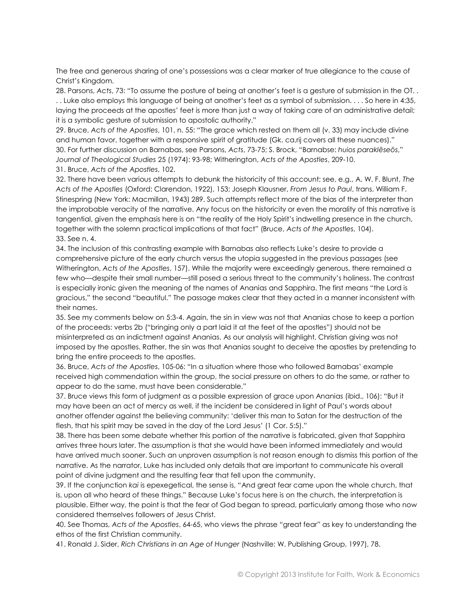The free and generous sharing of one's possessions was a clear marker of true allegiance to the cause of Christ's Kingdom.

28. Parsons, *Acts*, 73: "To assume the posture of being at another's feet is a gesture of submission in the OT. . . . Luke also employs this language of being at another's feet as a symbol of submission. . . . So here in 4:35, laying the proceeds at the apostles' feet is more than just a way of taking care of an administrative detail; it is a symbolic gesture of submission to apostolic authority."

29. Bruce, *Acts of the Apostles*, 101, n. 55: "The grace which rested on them all (v. 33) may include divine and human favor, together with a responsive spirit of gratitude (Gk. ca,rij covers all these nuances)." 30. For further discussion on Barnabas, see Parsons, *Acts*, 73-75; S. Brock, "Barnabse: *huios paraklēseōs*," *Journal of Theological Studies* 25 (1974): 93-98; Witherington, *Acts of the Apostles*, 209-10.

31. Bruce, *Acts of the Apostles*, 102.

32. There have been various attempts to debunk the historicity of this account; see, e.g., A. W. F. Blunt, *The Acts of the Apostles* (Oxford: Clarendon, 1922), 153; Joseph Klausner, *From Jesus to Paul*, trans. William F. Stinespring (New York: Macmillan, 1943) 289. Such attempts reflect more of the bias of the interpreter than the improbable veracity of the narrative. Any focus on the historicity or even the morality of this narrative is tangential, given the emphasis here is on "the reality of the Holy Spirit's indwelling presence in the church, together with the solemn practical implications of that fact" (Bruce, *Acts of the Apostles*, 104). 33. See n. 4.

34. The inclusion of this contrasting example with Barnabas also reflects Luke's desire to provide a comprehensive picture of the early church versus the utopia suggested in the previous passages (see Witherington, *Acts of the Apostles*, 157). While the majority were exceedingly generous, there remained a few who—despite their small number—still posed a serious threat to the community's holiness. The contrast is especially ironic given the meaning of the names of Ananias and Sapphira. The first means "the Lord is gracious," the second "beautiful." The passage makes clear that they acted in a manner inconsistent with their names.

35. See my comments below on 5:3-4. Again, the sin in view was not that Ananias chose to keep a portion of the proceeds: verbs 2b ("bringing only a part laid it at the feet of the apostles") should not be misinterpreted as an indictment against Ananias. As our analysis will highlight, Christian giving was not imposed by the apostles. Rather, the sin was that Ananias sought to deceive the apostles by pretending to bring the entire proceeds to the apostles.

36. Bruce, *Acts of the Apostles*, 105-06: "In a situation where those who followed Barnabas' example received high commendation within the group, the social pressure on others to do the same, or rather to appear to do the same, must have been considerable."

37. Bruce views this form of judgment as a possible expression of grace upon Ananias (ibid., 106): "But it may have been an act of mercy as well, if the incident be considered in light of Paul's words about another offender against the believing community: 'deliver this man to Satan for the destruction of the flesh, that his spirit may be saved in the day of the Lord Jesus' (1 Cor. 5:5)."

38. There has been some debate whether this portion of the narrative is fabricated, given that Sapphira arrives three hours later. The assumption is that she would have been informed immediately and would have arrived much sooner. Such an unproven assumption is not reason enough to dismiss this portion of the narrative. As the narrator, Luke has included only details that are important to communicate his overall point of divine judgment and the resulting fear that fell upon the community.

39. If the conjunction *kai* is epexegetical, the sense is, "And great fear came upon the whole church, that is, upon all who heard of these things." Because Luke's focus here is on the church, the interpretation is plausible. Either way, the point is that the fear of God began to spread, particularly among those who now considered themselves followers of Jesus Christ.

40. See Thomas, *Acts of the Apostles*, 64-65, who views the phrase "great fear" as key to understanding the ethos of the first Christian community.

41. Ronald J. Sider, *Rich Christians in an Age of Hunger* (Nashville: W. Publishing Group, 1997), 78.